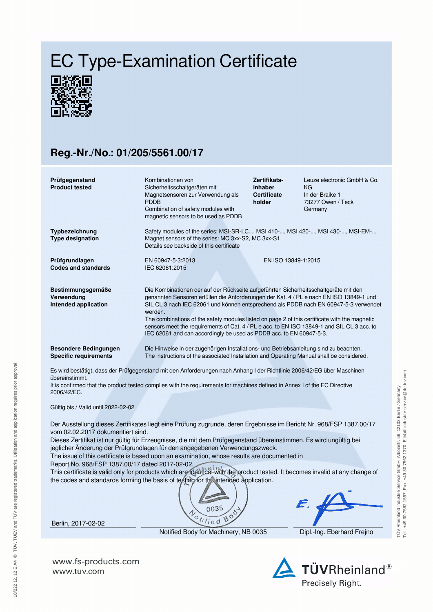## EC Type-Examination Certificate



## **Reg.-Nr./No.: 01/205/5561.00/17**

| Prüfgegenstand<br><b>Product tested</b>                                                                                                                                                          | Kombinationen von<br>Sicherheitsschaltgeräten mit                                                                                                                                                | Zertifikats-<br>inhaber      | Leuze electronic GmbH & Co.<br>ΚG    |  |  |
|--------------------------------------------------------------------------------------------------------------------------------------------------------------------------------------------------|--------------------------------------------------------------------------------------------------------------------------------------------------------------------------------------------------|------------------------------|--------------------------------------|--|--|
|                                                                                                                                                                                                  | Magnetsensoren zur Verwendung als<br><b>PDDB</b>                                                                                                                                                 | <b>Certificate</b><br>holder | In der Braike 1<br>73277 Owen / Teck |  |  |
|                                                                                                                                                                                                  | Combination of safety modules with                                                                                                                                                               |                              | Germany                              |  |  |
|                                                                                                                                                                                                  | magnetic sensors to be used as PDDB                                                                                                                                                              |                              |                                      |  |  |
|                                                                                                                                                                                                  |                                                                                                                                                                                                  |                              |                                      |  |  |
| Typbezeichnung                                                                                                                                                                                   | Safety modules of the series: MSI-SR-LC, MSI 410-, MSI 420-, MSI 430-, MSI-EM-                                                                                                                   |                              |                                      |  |  |
| <b>Type designation</b>                                                                                                                                                                          | Magnet sensors of the series: MC 3xx-S2, MC 3xx-S1                                                                                                                                               |                              |                                      |  |  |
|                                                                                                                                                                                                  | Details see backside of this certificate                                                                                                                                                         |                              |                                      |  |  |
| Prüfgrundlagen                                                                                                                                                                                   | EN 60947-5-3:2013                                                                                                                                                                                | EN ISO 13849-1:2015          |                                      |  |  |
| <b>Codes and standards</b>                                                                                                                                                                       | IEC 62061:2015                                                                                                                                                                                   |                              |                                      |  |  |
|                                                                                                                                                                                                  |                                                                                                                                                                                                  |                              |                                      |  |  |
| Bestimmungsgemäße                                                                                                                                                                                | Die Kombinationen der auf der Rückseite aufgeführten Sicherheitsschaltgeräte mit den                                                                                                             |                              |                                      |  |  |
| Verwendung                                                                                                                                                                                       | genannten Sensoren erfüllen die Anforderungen der Kat. 4 / PL e nach EN ISO 13849-1 und                                                                                                          |                              |                                      |  |  |
| Intended application                                                                                                                                                                             | SIL CL 3 nach IEC 62061 und können entsprechend als PDDB nach EN 60947-5-3 verwendet<br>werden.<br>The combinations of the safety modules listed on page 2 of this certificate with the magnetic |                              |                                      |  |  |
|                                                                                                                                                                                                  |                                                                                                                                                                                                  |                              |                                      |  |  |
|                                                                                                                                                                                                  | sensors meet the requirements of Cat. 4 / PL e acc. to EN ISO 13849-1 and SIL CL 3 acc. to                                                                                                       |                              |                                      |  |  |
|                                                                                                                                                                                                  | IEC 62061 and can accordingly be used as PDDB acc. to EN 60947-5-3.                                                                                                                              |                              |                                      |  |  |
| <b>Besondere Bedingungen</b>                                                                                                                                                                     |                                                                                                                                                                                                  |                              |                                      |  |  |
| <b>Specific requirements</b>                                                                                                                                                                     | Die Hinweise in der zugehörigen Installations- und Betriebsanleitung sind zu beachten.<br>The instructions of the associated Installation and Operating Manual shall be considered.              |                              |                                      |  |  |
|                                                                                                                                                                                                  |                                                                                                                                                                                                  |                              |                                      |  |  |
| Es wird bestätigt, dass der Prüfgegenstand mit den Anforderungen nach Anhang I der Richtlinie 2006/42/EG über Maschinen<br>übereinstimmt.                                                        |                                                                                                                                                                                                  |                              |                                      |  |  |
| It is confirmed that the product tested complies with the requirements for machines defined in Annex I of the EC Directive                                                                       |                                                                                                                                                                                                  |                              |                                      |  |  |
| 2006/42/EC.                                                                                                                                                                                      |                                                                                                                                                                                                  |                              |                                      |  |  |
|                                                                                                                                                                                                  |                                                                                                                                                                                                  |                              |                                      |  |  |
| Gültig bis / Valid until 2022-02-02                                                                                                                                                              |                                                                                                                                                                                                  |                              |                                      |  |  |
|                                                                                                                                                                                                  |                                                                                                                                                                                                  |                              |                                      |  |  |
| Der Ausstellung dieses Zertifikates liegt eine Prüfung zugrunde, deren Ergebnisse im Bericht Nr. 968/FSP 1387.00/17                                                                              |                                                                                                                                                                                                  |                              |                                      |  |  |
| vom 02.02.2017 dokumentiert sind.                                                                                                                                                                |                                                                                                                                                                                                  |                              |                                      |  |  |
| Dieses Zertifikat ist nur gültig für Erzeugnisse, die mit dem Prüfgegenstand übereinstimmen. Es wird ungültig bei<br>jeglicher Änderung der Prüfgrundlagen für den angegebenen Verwendungszweck. |                                                                                                                                                                                                  |                              |                                      |  |  |
| The issue of this certificate is based upon an examination, whose results are documented in                                                                                                      |                                                                                                                                                                                                  |                              |                                      |  |  |
| Report No. 968/FSP 1387.00/17 dated 2017-02-02.                                                                                                                                                  |                                                                                                                                                                                                  |                              |                                      |  |  |
| This certificate is valid only for products which are identical with the product tested. It becomes invalid at any change of                                                                     |                                                                                                                                                                                                  |                              |                                      |  |  |
| the codes and standards forming the basis of testing for the intended application.                                                                                                               |                                                                                                                                                                                                  |                              |                                      |  |  |





Berlin, 2017-02-02

10/222 12. 12 E A4 ® TÜV, TUEV and TUV are registered trademarks. Utilisation and application requires prior approval.

10/222 12. 12 E A4 ® TŪV, TUEV and TUV are registered trademarks. Utilisation and application requires prior approval.

Notified Body for Machinery, NB 0035 Dipl.-Ing. Eberhard Frejno

**www.fs-products.com** www.tuv.com